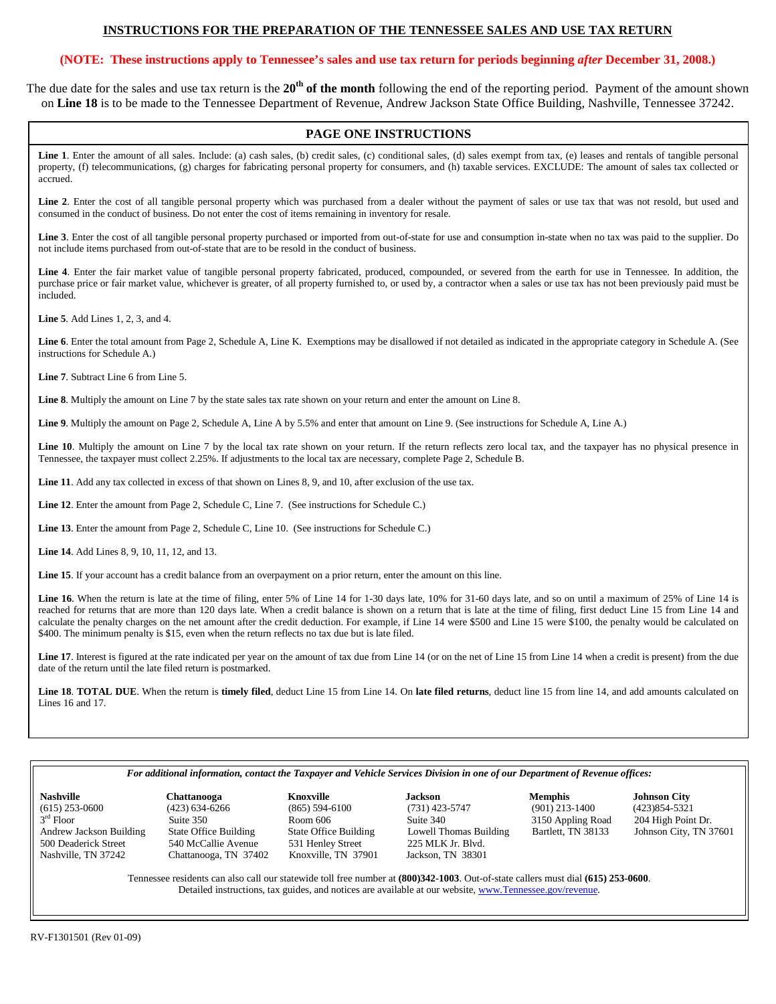# **INSTRUCTIONS FOR THE PREPARATION OF THE TENNESSEE SALES AND USE TAX RETURN**

# **(NOTE: These instructions apply to Tennessee's sales and use tax return for periods beginning** *after* **December 31, 2008.)**

The due date for the sales and use tax return is the 20<sup>th</sup> of the month following the end of the reporting period. Payment of the amount shown on **Line 18** is to be made to the Tennessee Department of Revenue, Andrew Jackson State Office Building, Nashville, Tennessee 37242.

# **PAGE ONE INSTRUCTIONS**

Line 1. Enter the amount of all sales. Include: (a) cash sales, (b) credit sales, (c) conditional sales, (d) sales exempt from tax, (e) leases and rentals of tangible personal property, (f) telecommunications, (g) charges for fabricating personal property for consumers, and (h) taxable services. EXCLUDE: The amount of sales tax collected or accrued.

Line 2. Enter the cost of all tangible personal property which was purchased from a dealer without the payment of sales or use tax that was not resold, but used and consumed in the conduct of business. Do not enter the cost of items remaining in inventory for resale.

**Line 3**. Enter the cost of all tangible personal property purchased or imported from out-of-state for use and consumption in-state when no tax was paid to the supplier. Do not include items purchased from out-of-state that are to be resold in the conduct of business.

**Line 4**. Enter the fair market value of tangible personal property fabricated, produced, compounded, or severed from the earth for use in Tennessee. In addition, the purchase price or fair market value, whichever is greater, of all property furnished to, or used by, a contractor when a sales or use tax has not been previously paid must be included.

**Line 5**. Add Lines 1, 2, 3, and 4.

**Line 6**. Enter the total amount from Page 2, Schedule A, Line K. Exemptions may be disallowed if not detailed as indicated in the appropriate category in Schedule A. (See instructions for Schedule A.)

**Line 7**. Subtract Line 6 from Line 5.

**Line 8**. Multiply the amount on Line 7 by the state sales tax rate shown on your return and enter the amount on Line 8.

**Line 9**. Multiply the amount on Page 2, Schedule A, Line A by 5.5% and enter that amount on Line 9. (See instructions for Schedule A, Line A.)

Line 10. Multiply the amount on Line 7 by the local tax rate shown on your return. If the return reflects zero local tax, and the taxpayer has no physical presence in Tennessee, the taxpayer must collect 2.25%. If adjustments to the local tax are necessary, complete Page 2, Schedule B.

**Line 11**. Add any tax collected in excess of that shown on Lines 8, 9, and 10, after exclusion of the use tax.

**Line 12**. Enter the amount from Page 2, Schedule C, Line 7. (See instructions for Schedule C.)

**Line 13**. Enter the amount from Page 2, Schedule C, Line 10. (See instructions for Schedule C.)

**Line 14**. Add Lines 8, 9, 10, 11, 12, and 13.

Line 15. If your account has a credit balance from an overpayment on a prior return, enter the amount on this line.

Line 16. When the return is late at the time of filing, enter 5% of Line 14 for 1-30 days late, 10% for 31-60 days late, and so on until a maximum of 25% of Line 14 is reached for returns that are more than 120 days late. When a credit balance is shown on a return that is late at the time of filing, first deduct Line 15 from Line 14 and calculate the penalty charges on the net amount after the credit deduction. For example, if Line 14 were \$500 and Line 15 were \$100, the penalty would be calculated on \$400. The minimum penalty is \$15, even when the return reflects no tax due but is late filed.

Line 17. Interest is figured at the rate indicated per year on the amount of tax due from Line 14 (or on the net of Line 15 from Line 14 when a credit is present) from the due date of the return until the late filed return is postmarked.

**Line 18**. **TOTAL DUE**. When the return is **timely filed**, deduct Line 15 from Line 14. On **late filed returns**, deduct line 15 from line 14, and add amounts calculated on Lines 16 and 17.

#### *For additional information, contact the Taxpayer and Vehicle Services Division in one of our Department of Revenue offices:*

3<sup>rd</sup> Floor<br>Andrew Jackson Building

 $(615) 253-0600$   $(423) 634-6266$   $(865) 594-6100$   $(731) 423-5747$   $(901) 213-1400$   $(423)854-5321$ <br>  $3^{rd}$  Floor Suite 350 Room 606 Suite 340 3150 Appling Road 204 High Point Dr. Suite 350 Room 606 Suite 340 3150 Appling Road<br>State Office Building State Office Building Lowell Thomas Building Bartlett, TN 38133 Andrew Jackson Building State Office Building State Office Building Lowell Thomas Building Bartlett, TN 38133 Johnson City, TN 37601<br>531 Henley Street 225 MLK Jr. Blvd. 540 McCallie Avenue 531 Henley Street 225 MLK Jr. Blvd.<br>Chattanooga, TN 37402 Knoxville, TN 37901 Jackson, TN 38301 Nashville, TN 37242 Chattanooga, TN 37402 Knoxville, TN 37901

**Nashville Chattanooga Knoxville Jackson Memphis Johnson City** 

Tennessee residents can also call our statewide toll free number at **(800)342-1003**. Out-of-state callers must dial **(615) 253-0600**. Detailed instructions, tax guides, and notices are available at our website, www.Tennessee.gov/revenue.